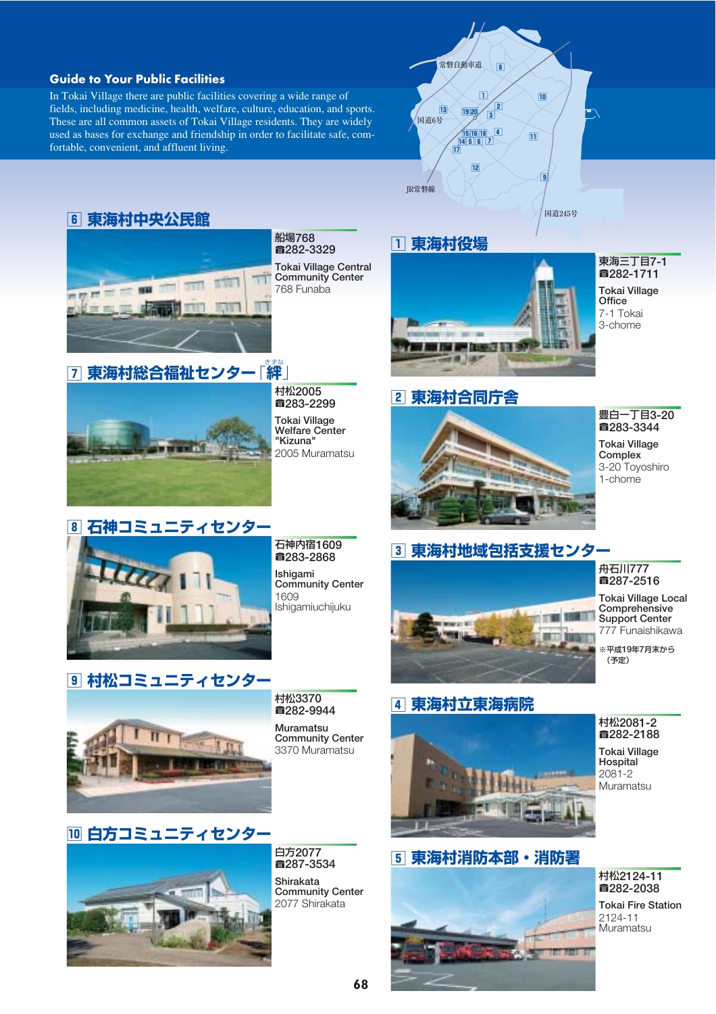#### **Guide to Your Public Facilities**

In Tokai Village there are public facilities covering a wide range of fields, including medicine, health, welfare, culture, education, and sports. These are all common assets of Tokai Village residents. They are widely used as bases for exchange and friendship in order to facilitate safe, comfortable, convenient, and affluent living.



#### 珥 **東海村中央公民館**



船場768 ■282-3329 Tokai Village Central Community Center 768 Funaba

#### \_\_\_<br>|7| 東海村総合福祉センター 「絆」



村松2005 a283-2299 Tokai Village Welfare Center "Kizuna" 2005 Muramatsu

#### 珈 **東海村役場**



東海三丁目7-1 蕕282-1711

Tokai Village **Office** 7-1 Tokai 3-chome

#### 玳 **東海村合同庁舎**



#### 豊白一丁目3-20 蕕283-3344

Tokai Village **Complex** 3-20 Toyoshiro 1-chome

## 珞 **石神コミュニティセンター**

石神内宿1609 ■283-2868 Ishigami Community Center 1609 Ishigamiuchijuku

### 珎 **東海村地域包括支援センター**



#### 舟石川777 蕕287-2516

Tokai Village Local **Comprehensive** Support Center 777 Funaishikawa

※平成19年7月末から (予定)



**9 村松コミュニティセンター** 

村松3370 ■282-9944

Muramatsu Community Center 3370 Muramatsu

## 玻 **東海村立東海病院**



# 珀 **東海村消防本部・消防署**

#### 村松2081-2 蕕282-2188

Tokai Village Hospital 2081-2 Muramatsu



白方2077 蕕287-3534 Shirakata Community Center 2077 Shirakata



Tokai Fire Station 2124-11 Muramatsu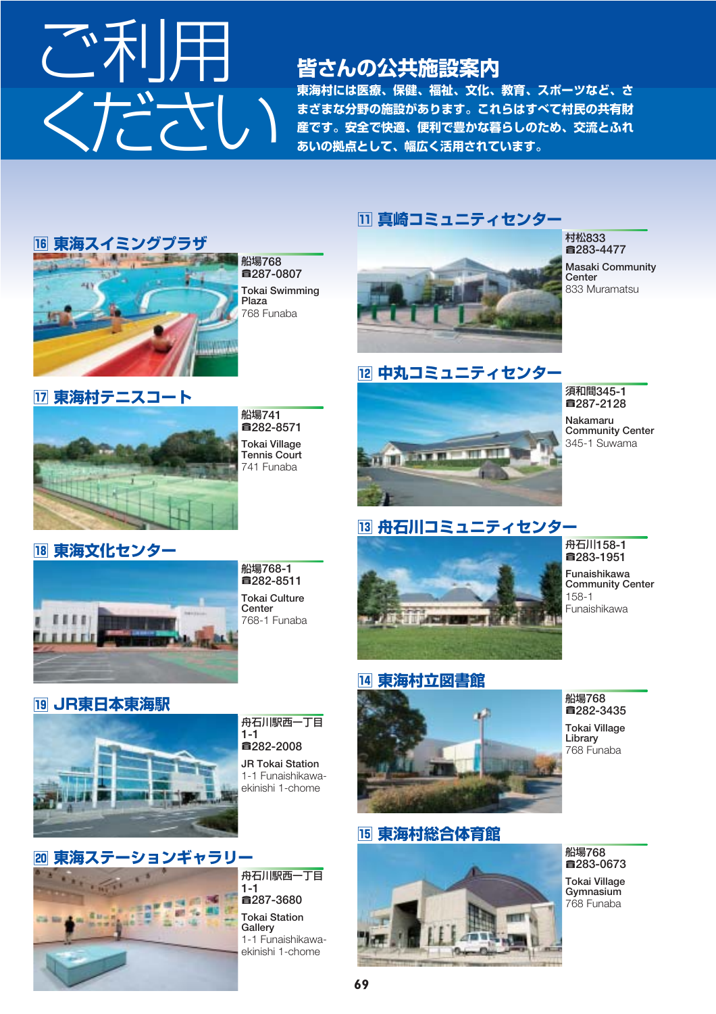

#### **皆さんの公共施設案内**

**東海村には医療、保健、福祉、文化、教育、スポーツなど、さ まざまな分野の施設があります。これらはすべて村民の共有財 産です。安全で快適、便利で豊かな暮らしのため、交流とふれ あいの拠点として、幅広く活用されています。**

#### 瑯 **真崎コミュニティセンター**



蕕287-0807 Tokai Swimming 768 Funaba



琥 **中丸コミュニティセンター**

**WIT WITH** 

村松833 蕕283-4477 Masaki Community **Center** 833 Muramatsu

須和間345-1 蕕287-2128 Nakamaru Community Center 345-1 Suwama



船場741 蕕282-8571 Tokai Village Tennis Court 741 Funaba

#### 珸 **舟石川コミュニティセンター**

**THE WAY** 



舟石川158-1 蕕283-1951

Funaishikawa **Community Center** 158-1 Funaishikawa

**18 東海文化センタ** 



船場768-1 蕕282-8511 Tokai Culture **Center** 768-1 Funaba

#### 瑙 **JR東日本東海駅**



#### 舟石川駅西一丁目 1-1 蕕282-2008

JR Tokai Station 1-1 Funaishikawaekinishi 1-chome



琺 **東海村総合体育館**





船場768 蕕283-0673 Tokai Village Gymnasium 768 Funaba



1-1 蕕287-3680 Tokai Station **Gallery** 1-1 Funaishikawaekinishi 1-chome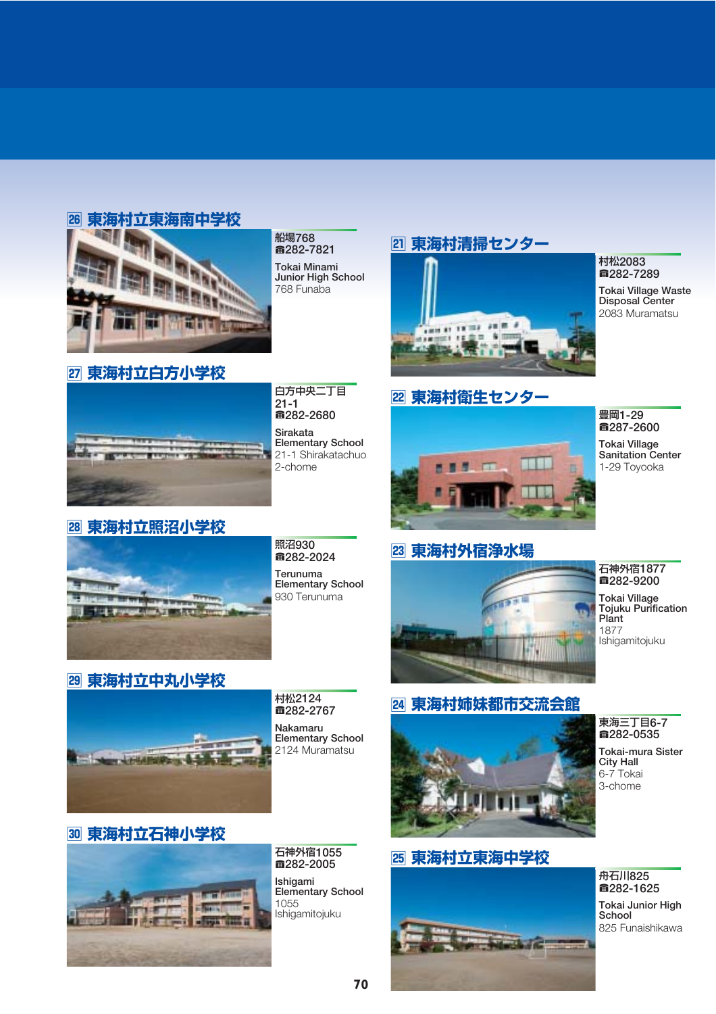#### 瑶 **東海村立東海南中学校**



船場768 蕕282-7821 Tokai Minami Junior High School 768 Funaba

#### 瑾 **東海村立白方小学校**

白方中央二丁目 21-1 蕕282-2680 Sirakata Elementary School 21-1 Shirakatachuo 2-chome

#### 璋 **東海村立照沼小学校**



照沼930 蕕282-2024 Terunuma Elementary School 930 Terunuma

#### **29 東海村立中丸小学校**



村松2124 ■282-2767 Nakamaru Elementary School 2124 Muramatsu

#### 瑜 **東海村清掃センター**



#### 瑩 **東海村衛生センター**



#### 豊岡1-29 蕕287-2600

村松2083 蕕282-7289 Tokai Village Waste Disposal Center 2083 Muramatsu

Tokai Village Sanitation Center 1-29 Toyooka

#### 瑰 **東海村外宿浄水場**



#### 石神外宿1877 蕕282-9200 Tokai Village Tojuku Purification

Plant 1877 Ishigamitojuku

#### 瑣 **東海村姉妹都市交流会館**



#### 瑪 **東海村立東海中学校**



#### 東海三丁目6-7 蕕282-0535

Tokai-mura Sister City Hall 6-7 Tokai 3-chome

#### 璧 **東海村立石神小学校**



石神外宿1055 蕕282-2005 Ishigami Elementary School 1055 Ishigamitojuku

#### **71 70**

#### 舟石川825 ■282-1625

Tokai Junior High School 825 Funaishikawa